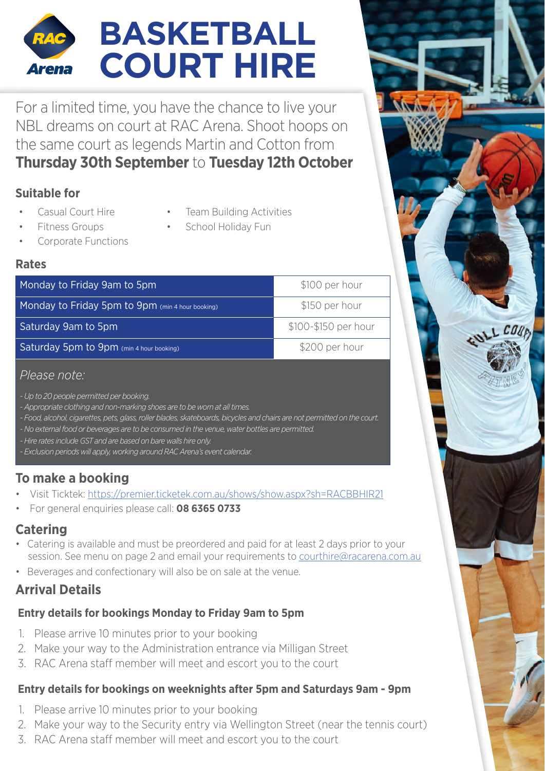### **BASKETBALL COURT HIRE Arena**

For a limited time, you have the chance to live your NBL dreams on court at RAC Arena. Shoot hoops on the same court as legends Martin and Cotton from **Thursday 30th September** to **Tuesday 12th October**

### **Suitable for**

- Casual Court Hire
- Team Building Activities

, COUP

- School Holiday Fun
- Fitness Groups • Corporate Functions

### **Rates**

| Monday to Friday 9am to 5pm                      | \$100 per hour       |
|--------------------------------------------------|----------------------|
| Monday to Friday 5pm to 9pm (min 4 hour booking) | \$150 per hour       |
| Saturday 9am to 5pm                              | \$100-\$150 per hour |
| Saturday 5pm to 9pm (min 4 hour booking)         | \$200 per hour       |
|                                                  |                      |

### *Please note:*

- *Up to 20 people permitted per booking.*
- *Appropriate clothing and non-marking shoes are to be worn at all times.*
- *Food, alcohol, cigarettes, pets, glass, roller blades, skateboards, bicycles and chairs are not permitted on the court.*
- *No external food or beverages are to be consumed in the venue, water bottles are permitted.*
- *Hire rates include GST and are based on bare walls hire only.*

*- Exclusion periods will apply, working around RAC Arena's event calendar.*

### **To make a booking**

- Visit Ticktek: https://premier.ticketek.com.au/shows/show.aspx?sh=RACBBHIR21
- For general enquiries please call: **08 6365 0733**

### **Catering**

- Catering is available and must be preordered and paid for at least 2 days prior to your session. See menu on page 2 and email your requirements to [courthire@racarena.com.au](mailto:?subject=)
- Beverages and confectionary will also be on sale at the venue.

### **Arrival Details**

### **Entry details for bookings Monday to Friday 9am to 5pm**

- 1. Please arrive 10 minutes prior to your booking
- 2. Make your way to the Administration entrance via Milligan Street
- 3. RAC Arena staff member will meet and escort you to the court

### **Entry details for bookings on weeknights after 5pm and Saturdays 9am - 9pm**

- 1. Please arrive 10 minutes prior to your booking
- 2. Make your way to the Security entry via Wellington Street (near the tennis court)
- 3. RAC Arena staff member will meet and escort you to the court